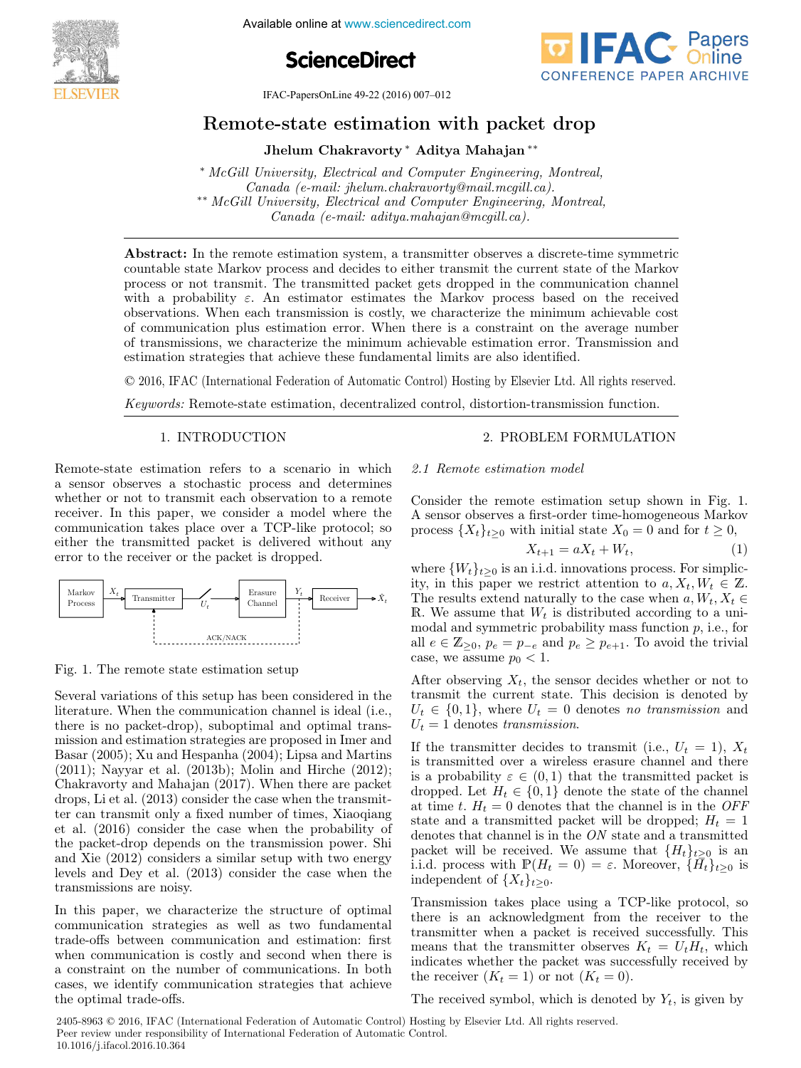

Available online at www.sciencedirect.com





IFAC-PapersOnLine 49-22 (2016) 007–012

# Remote-state estimation with packet drop

Jhelum Chakravorty <sup>∗</sup> Aditya Mahajan ∗∗

<sup>∗</sup> McGill University, Electrical and Computer Engineering, Montreal, Canada (e-mail: jhelum.chakravorty@mail.mcgill.ca). ∗∗ McGill University, Electrical and Computer Engineering, Montreal, Canada (e-mail: aditya.mahajan@mcgill.ca).

Abstract: In the remote estimation system, a transmitter observes a discrete-time symmetric countable state Markov process and decides to either transmit the current state of the Markov process or not transmit. The transmitted packet gets dropped in the communication channel with a probability  $\varepsilon$ . An estimator estimates the Markov process based on the received observations. When each transmission is costly, we characterize the minimum achievable cost of communication plus estimation error. When there is a constraint on the average number of transmissions, we characterize the minimum achievable estimation error. Transmission and estimation strategies that achieve these fundamental limits are also identified.

© 2016, IFAC (International Federation of Automatic Control) Hosting by Elsevier Ltd. All rights reserved.

Keywords: Remote-state estimation, decentralized control, distortion-transmission function.

## 1. INTRODUCTION

Remote-state estimation refers to a scenario in which a sensor observes a stochastic process and determines whether or not to transmit each observation to a remote receiver. In this paper, we consider a model where the communication takes place over a TCP-like protocol; so either the transmitted packet is delivered without any error to the receiver or the packet is dropped.



Fig. 1. The remote state estimation setup

Several variations of this setup has been considered in the literature. When the communication channel is ideal (i.e., there is no packet-drop), suboptimal and optimal transmission and estimation strategies are proposed in Imer and Basar (2005); Xu and Hespanha (2004); Lipsa and Martins (2011); Nayyar et al. (2013b); Molin and Hirche (2012); Chakravorty and Mahajan (2017). When there are packet drops, Li et al. (2013) consider the case when the transmitter can transmit only a fixed number of times, Xiaoqiang et al. (2016) consider the case when the probability of the packet-drop depends on the transmission power. Shi and Xie (2012) considers a similar setup with two energy levels and Dey et al. (2013) consider the case when the transmissions are noisy.

In this paper, we characterize the structure of optimal communication strategies as well as two fundamental trade-offs between communication and estimation: first when communication is costly and second when there is a constraint on the number of communications. In both cases, we identify communication strategies that achieve the optimal trade-offs.

## 2. PROBLEM FORMULATION

#### 2.1 Remote estimation model

Consider the remote estimation setup shown in Fig. 1. A sensor observes a first-order time-homogeneous Markov process  $\{X_t\}_{t>0}$  with initial state  $X_0 = 0$  and for  $t \geq 0$ ,

$$
X_{t+1} = aX_t + W_t, \tag{1}
$$

where  $\{W_t\}_{t>0}$  is an i.i.d. innovations process. For simplicity, in this paper we restrict attention to  $a, X_t, W_t \in \mathbb{Z}$ . The results extend naturally to the case when  $a, W_t, X_t \in$ R. We assume that  $W_t$  is distributed according to a unimodal and symmetric probability mass function  $p$ , i.e., for all  $e \in \mathbb{Z}_{\geq 0}$ ,  $p_e = p_{-e}$  and  $p_e \geq p_{e+1}$ . To avoid the trivial case, we assume  $p_0 < 1$ .

After observing  $X_t$ , the sensor decides whether or not to transmit the current state. This decision is denoted by  $U_t \in \{0,1\}$ , where  $U_t = 0$  denotes no transmission and  $U_t = 1$  denotes transmission.

If the transmitter decides to transmit (i.e.,  $U_t = 1$ ),  $X_t$ is transmitted over a wireless erasure channel and there is a probability  $\varepsilon \in (0,1)$  that the transmitted packet is dropped. Let  $H_t \in \{0,1\}$  denote the state of the channel at time t.  $H_t = 0$  denotes that the channel is in the OFF state and a transmitted packet will be dropped;  $H_t = 1$ denotes that channel is in the ON state and a transmitted packet will be received. We assume that  $\{H_t\}_{t\geq 0}$  is an i.i.d. process with  $\mathbb{P}(H_t = 0) = \varepsilon$ . Moreover,  $\{\bar{H}_t\}_{t>0}$  is independent of  $\{X_t\}_{t>0}$ .

Transmission takes place using a TCP-like protocol, so there is an acknowledgment from the receiver to the transmitter when a packet is received successfully. This means that the transmitter observes  $K_t = U_t H_t$ , which indicates whether the packet was successfully received by the receiver  $(K_t = 1)$  or not  $(K_t = 0)$ .

The received symbol, which is denoted by  $Y_t$ , is given by

2405-8963 © 2016, IFAC (International Federation of Automatic Control) Hosting by Elsevier Ltd. All rights reserved. Peer review under responsibility of International Federation of Automatic Control. 10.1016/j.ifacol.2016.10.364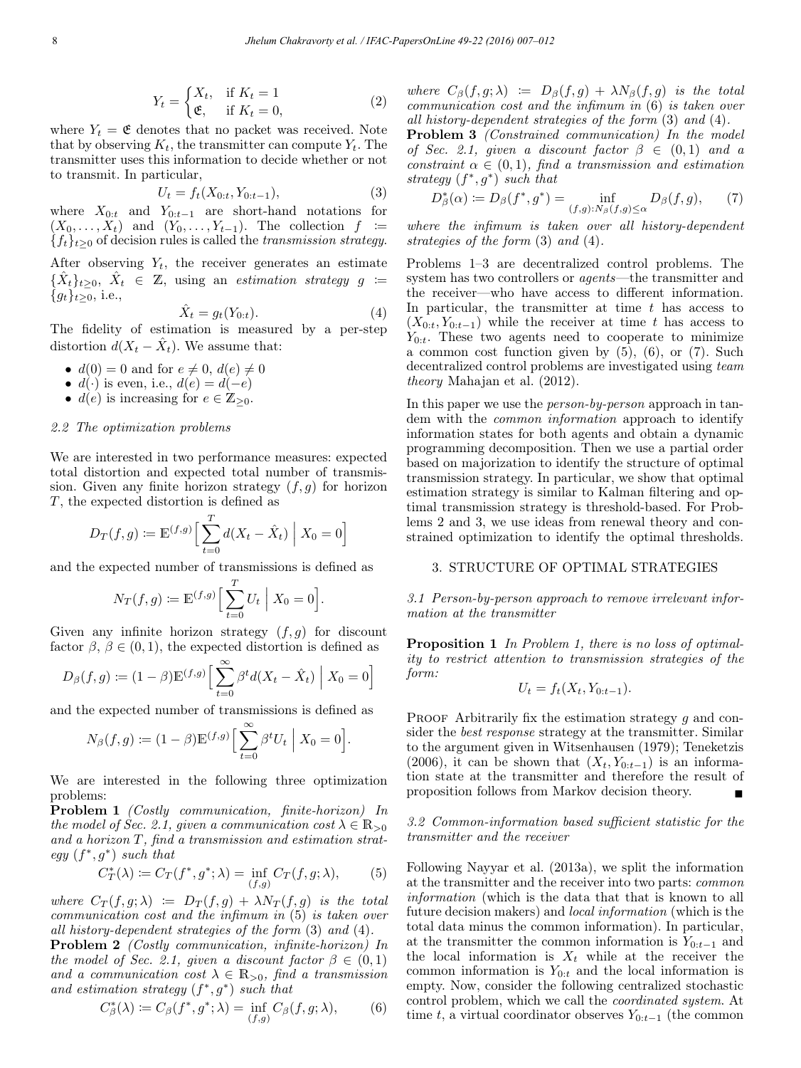$$
Y_t = \begin{cases} X_t, & \text{if } K_t = 1\\ \mathfrak{E}, & \text{if } K_t = 0, \end{cases}
$$
 (2)

where  $Y_t = \mathfrak{E}$  denotes that no packet was received. Note that by observing  $K_t$ , the transmitter can compute  $Y_t$ . The transmitter uses this information to decide whether or not to transmit. In particular,

$$
U_t = f_t(X_{0:t}, Y_{0:t-1}),
$$
\n(3)

where  $X_{0:t}$  and  $Y_{0:t-1}$  are short-hand notations for  $(X_0,\ldots,X_t)$  and  $(Y_0,\ldots,Y_{t-1})$ . The collection  $f :=$  ${f_t}_{t\geq0}$  of decision rules is called the transmission strategy.

After observing  $Y_t$ , the receiver generates an estimate  $\{\hat{X}_t\}_{t\geq0}, \ \hat{X}_t \in \mathbb{Z}, \ \text{using an estimation strategy } g \coloneqq$  ${g_t}_{t>0}$ , i.e.,

$$
\hat{X}_t = g_t(Y_{0:t}).\tag{4}
$$

The fidelity of estimation is measured by a per-step distortion  $d(X_t - \hat{X}_t)$ . We assume that:

- $d(0) = 0$  and for  $e \neq 0$ ,  $d(e) \neq 0$
- $d(\cdot)$  is even, i.e.,  $d(e) = d(-e)$
- $d(e)$  is increasing for  $e \in \mathbb{Z}_{\geq 0}$ .

#### 2.2 The optimization problems

We are interested in two performance measures: expected total distortion and expected total number of transmission. Given any finite horizon strategy  $(f, g)$  for horizon T, the expected distortion is defined as

$$
D_T(f,g) := \mathbb{E}^{(f,g)} \Big[ \sum_{t=0}^T d(X_t - \hat{X}_t) \Big| X_0 = 0 \Big]
$$

and the expected number of transmissions is defined as

$$
N_T(f,g) \coloneqq \mathbb{E}^{(f,g)} \Big[ \sum_{t=0}^T U_t \Big| X_0 = 0 \Big].
$$

Given any infinite horizon strategy  $(f,g)$  for discount factor  $\beta$ ,  $\beta \in (0, 1)$ , the expected distortion is defined as

$$
D_{\beta}(f,g) := (1 - \beta) \mathbb{E}^{(f,g)} \Big[ \sum_{t=0}^{\infty} \beta^t d(X_t - \hat{X}_t) \Big| X_0 = 0 \Big]
$$

and the expected number of transmissions is defined as

$$
N_{\beta}(f,g) := (1 - \beta) \mathbb{E}^{(f,g)} \Big[ \sum_{t=0}^{\infty} \beta^t U_t \Big| X_0 = 0 \Big]
$$

We are interested in the following three optimization problems:

Problem 1 (Costly communication, finite-horizon) In the model of Sec. 2.1, given a communication cost  $\lambda \in \mathbb{R}_{>0}$ and a horizon T, find a transmission and estimation strategy  $(f^*, g^*)$  such that

$$
C_T^*(\lambda) := C_T(f^*, g^*; \lambda) = \inf_{(f,g)} C_T(f, g; \lambda), \tag{5}
$$

.

where  $C_T(f,g;\lambda) := D_T(f,g) + \lambda N_T(f,g)$  is the total communication cost and the infimum in (5) is taken over all history-dependent strategies of the form (3) and (4).

Problem 2 (Costly communication, infinite-horizon) In the model of Sec. 2.1, given a discount factor  $\beta \in (0,1)$ and a communication cost  $\lambda \in \mathbb{R}_{>0}$ , find a transmission and estimation strategy  $(f^*, g^*)$  such that

$$
C_{\beta}^*(\lambda) := C_{\beta}(f^*, g^*; \lambda) = \inf_{(f,g)} C_{\beta}(f, g; \lambda), \qquad (6)
$$

where  $C_{\beta}(f,g;\lambda) \coloneqq D_{\beta}(f,g) + \lambda N_{\beta}(f,g)$  is the total communication cost and the infimum in (6) is taken over all history-dependent strategies of the form (3) and (4).

Problem 3 (Constrained communication) In the model of Sec. 2.1, given a discount factor  $\beta \in (0,1)$  and a constraint  $\alpha \in (0,1)$ , find a transmission and estimation strategy  $(f^*, g^*)$  such that

$$
D_{\beta}^{*}(\alpha) \coloneqq D_{\beta}(f^{*}, g^{*}) = \inf_{(f,g): N_{\beta}(f,g) \leq \alpha} D_{\beta}(f,g), \qquad (7)
$$

where the infimum is taken over all history-dependent strategies of the form (3) and (4).

Problems 1–3 are decentralized control problems. The system has two controllers or agents—the transmitter and the receiver—who have access to different information. In particular, the transmitter at time  $t$  has access to  $(X_{0:t}, Y_{0:t-1})$  while the receiver at time t has access to  $Y_{0:t}$ . These two agents need to cooperate to minimize a common cost function given by  $(5)$ ,  $(6)$ , or  $(7)$ . Such decentralized control problems are investigated using team theory Mahajan et al. (2012).

In this paper we use the person-by-person approach in tandem with the common information approach to identify information states for both agents and obtain a dynamic programming decomposition. Then we use a partial order based on majorization to identify the structure of optimal transmission strategy. In particular, we show that optimal estimation strategy is similar to Kalman filtering and optimal transmission strategy is threshold-based. For Problems 2 and 3, we use ideas from renewal theory and constrained optimization to identify the optimal thresholds.

#### 3. STRUCTURE OF OPTIMAL STRATEGIES

3.1 Person-by-person approach to remove irrelevant information at the transmitter

Proposition 1 In Problem 1, there is no loss of optimality to restrict attention to transmission strategies of the form:

$$
U_t = f_t(X_t, Y_{0:t-1}).
$$

PROOF Arbitrarily fix the estimation strategy  $g$  and consider the *best response* strategy at the transmitter. Similar to the argument given in Witsenhausen (1979); Teneketzis (2006), it can be shown that  $(X_t, Y_{0:t-1})$  is an information state at the transmitter and therefore the result of proposition follows from Markov decision theory.

3.2 Common-information based sufficient statistic for the transmitter and the receiver

Following Nayyar et al. (2013a), we split the information at the transmitter and the receiver into two parts: common information (which is the data that that is known to all future decision makers) and local information (which is the total data minus the common information). In particular, at the transmitter the common information is  $Y_{0:t-1}$  and the local information is  $X_t$  while at the receiver the common information is  $Y_{0:t}$  and the local information is empty. Now, consider the following centralized stochastic control problem, which we call the coordinated system. At time t, a virtual coordinator observes  $Y_{0:t-1}$  (the common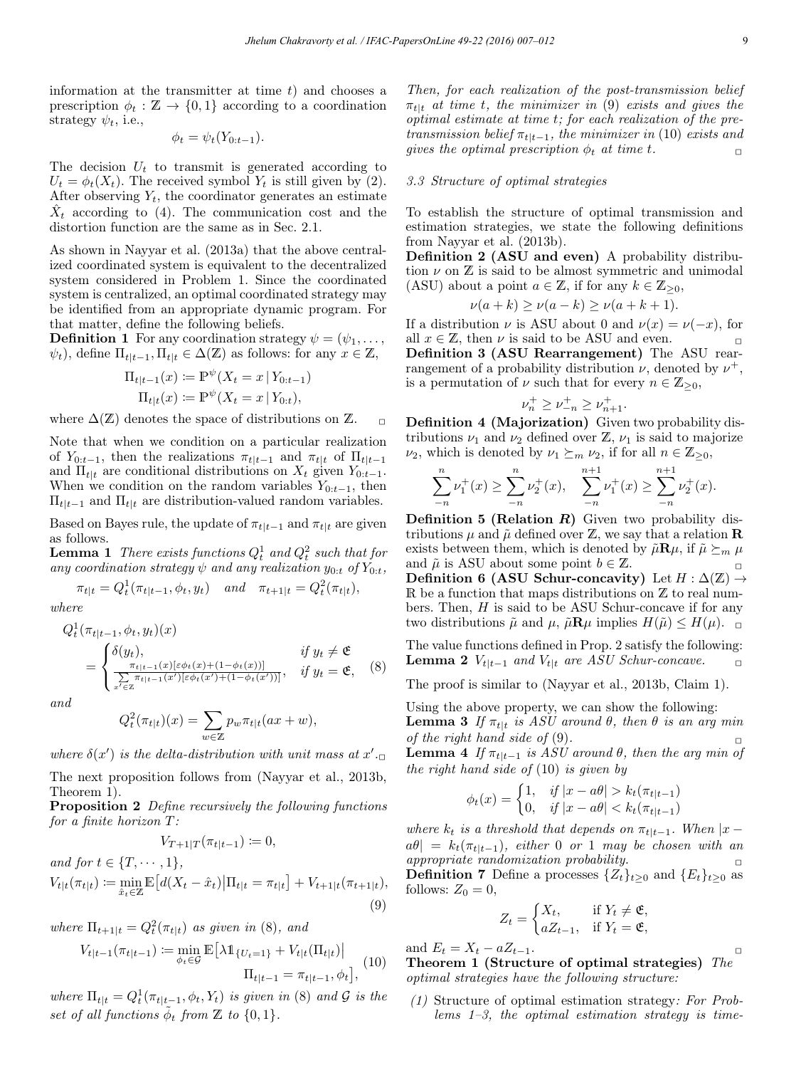information at the transmitter at time  $t$ ) and chooses a prescription  $\phi_t : \mathbb{Z} \to \{0,1\}$  according to a coordination strategy  $\psi_t$ , i.e.,

$$
\phi_t = \psi_t(Y_{0:t-1}).
$$

The decision  $U_t$  to transmit is generated according to  $U_t = \phi_t(X_t)$ . The received symbol  $Y_t$  is still given by (2). After observing  $Y_t$ , the coordinator generates an estimate  $\hat{X}_t$  according to (4). The communication cost and the distortion function are the same as in Sec. 2.1.

As shown in Nayyar et al. (2013a) that the above centralized coordinated system is equivalent to the decentralized system considered in Problem 1. Since the coordinated system is centralized, an optimal coordinated strategy may be identified from an appropriate dynamic program. For that matter, define the following beliefs.

**Definition 1** For any coordination strategy  $\psi = (\psi_1, \ldots, \psi_n)$  $\psi_t$ ), define  $\Pi_{t|t-1}, \Pi_{t|t} \in \Delta(\mathbb{Z})$  as follows: for any  $x \in \mathbb{Z}$ ,

$$
\Pi_{t|t-1}(x) := \mathbb{P}^{\psi}(X_t = x | Y_{0:t-1})
$$
  

$$
\Pi_{t|t}(x) := \mathbb{P}^{\psi}(X_t = x | Y_{0:t}),
$$

where  $\Delta(\mathbb{Z})$  denotes the space of distributions on  $\mathbb{Z}$ . <sub>□</sub>

Note that when we condition on a particular realization of  $Y_{0:t-1}$ , then the realizations  $\pi_{t|t-1}$  and  $\pi_{t|t}$  of  $\Pi_{t|t-1}$ and  $\Pi_{t|t}$  are conditional distributions on  $X_t$  given  $Y_{0:t-1}$ . When we condition on the random variables  $Y_{0:t-1}$ , then  $\Pi_{t|t-1}$  and  $\Pi_{t|t}$  are distribution-valued random variables.

Based on Bayes rule, the update of  $\pi_{t|t-1}$  and  $\pi_{t|t}$  are given as follows.

**Lemma 1** There exists functions  $Q_t^1$  and  $Q_t^2$  such that for any coordination strategy  $\psi$  and any realization  $y_{0:t}$  of  $Y_{0:t}$ ,

$$
\pi_{t|t} = Q_t^1(\pi_{t|t-1}, \phi_t, y_t) \quad and \quad \pi_{t+1|t} = Q_t^2(\pi_{t|t}),
$$

where

$$
Q_t^1(\pi_{t|t-1}, \phi_t, y_t)(x)
$$
  
= 
$$
\begin{cases} \delta(y_t), & \text{if } y_t \neq \mathfrak{E} \\ \frac{\pi_{t|t-1}(x)[\varepsilon \phi_t(x) + (1 - \phi_t(x))]}{\sum_{x' \in \mathbb{Z}} \pi_{t|t-1}(x')[\varepsilon \phi_t(x') + (1 - \phi_t(x'))]}, & \text{if } y_t = \mathfrak{E}, \end{cases}
$$
(8)

and

$$
Q_t^2(\pi_{t|t})(x)=\sum_{w\in\mathbb{Z}}p_w\pi_{t|t}(ax+w),
$$

where  $\delta(x')$  is the delta-distribution with unit mass at  $x'$ .

The next proposition follows from (Nayyar et al., 2013b, Theorem 1).

Proposition 2 Define recursively the following functions for a finite horizon T:  $V = (1, 1)$ 

$$
V_{T+1|T}(\pi_{t|t-1}) := 0,
$$
  
and for  $t \in \{T, \dots, 1\},$   

$$
V_{t|t}(\pi_{t|t}) := \min_{\hat{x}_t \in \mathbb{Z}} \mathbb{E}\left[d(X_t - \hat{x}_t) | \Pi_{t|t} = \pi_{t|t}\right] + V_{t+1|t}(\pi_{t+1|t}),
$$
  
(9)

where  $\Pi_{t+1|t} = Q_t^2(\pi_{t|t})$  as given in (8), and

$$
V_{t|t-1}(\pi_{t|t-1}) \coloneqq \min_{\phi_t \in \mathcal{G}} \mathbb{E} \left[ \lambda \mathbb{1}_{\{U_t = 1\}} + V_{t|t}(\Pi_{t|t}) \right] \n\prod_{t|t-1} = \pi_{t|t-1}, \phi_t \right], \tag{10}
$$

where  $\Pi_{t|t} = Q_t^1(\pi_{t|t-1}, \phi_t, Y_t)$  is given in (8) and  $\mathcal G$  is the set of all functions  $\tilde{\phi}_t$  from  $\mathbb Z$  to  $\{0,1\}$ .

Then, for each realization of the post-transmission belief  $\pi_{t\downarrow t}$  at time t, the minimizer in (9) exists and gives the optimal estimate at time t; for each realization of the pretransmission belief  $\pi_{t|t-1}$ , the minimizer in (10) exists and gives the optimal prescription  $\phi_t$  at time t.

#### 3.3 Structure of optimal strategies

To establish the structure of optimal transmission and estimation strategies, we state the following definitions from Nayyar et al. (2013b).

Definition 2 (ASU and even) A probability distribution  $\nu$  on  $\mathbb Z$  is said to be almost symmetric and unimodal (ASU) about a point  $a \in \mathbb{Z}$ , if for any  $k \in \mathbb{Z}_{\geq 0}$ ,

$$
\nu(a+k) \ge \nu(a-k) \ge \nu(a+k+1).
$$

If a distribution  $\nu$  is ASU about 0 and  $\nu(x) = \nu(-x)$ , for all  $x \in \mathbb{Z}$ , then  $\nu$  is said to be ASU and even. Definition 3 (ASU Rearrangement) The ASU rearrangement of a probability distribution  $\nu$ , denoted by  $\nu^+$ , is a permutation of  $\nu$  such that for every  $n \in \mathbb{Z}_{\geq 0}$ ,

$$
\nu_n^+ \ge \nu_{-n}^+ \ge \nu_{n+1}^+.
$$

Definition 4 (Majorization) Given two probability distributions  $\nu_1$  and  $\nu_2$  defined over  $\mathbb{Z}, \nu_1$  is said to majorize  $\nu_2$ , which is denoted by  $\nu_1 \succeq_m \nu_2$ , if for all  $n \in \mathbb{Z}_{\geq 0}$ ,

$$
\sum_{-n}^{n} \nu_1^+(x) \ge \sum_{-n}^{n} \nu_2^+(x), \quad \sum_{-n}^{n+1} \nu_1^+(x) \ge \sum_{-n}^{n+1} \nu_2^+(x).
$$

**Definition 5 (Relation R)** Given two probability distributions  $\mu$  and  $\tilde{\mu}$  defined over  $\mathbb{Z}$ , we say that a relation **R** exists between them, which is denoted by  $\tilde{\mu} \mathbf{R} \mu$ , if  $\tilde{\mu} \succeq_m \mu$ and  $\tilde{\mu}$  is ASU about some point  $b \in \mathbb{Z}$ . Definition 6 (ASU Schur-concavity) Let  $H : \Delta(\mathbb{Z}) \rightarrow$ R be a function that maps distributions on  $\mathbb Z$  to real numbers. Then, H is said to be ASU Schur-concave if for any two distributions  $\tilde{\mu}$  and  $\mu$ ,  $\tilde{\mu} \mathbf{R} \mu$  implies  $H(\tilde{\mu}) \leq H(\mu)$ .

The value functions defined in Prop. 2 satisfy the following: **Lemma 2**  $V_{t|t-1}$  and  $V_{t|t}$  are ASU Schur-concave. □

The proof is similar to (Nayyar et al., 2013b, Claim 1).

Using the above property, we can show the following: **Lemma 3** If  $\pi_{t|t}$  is ASU around  $\theta$ , then  $\theta$  is an arg min

of the right hand side of  $(9)$ . **Lemma 4** If  $\pi_{t|t-1}$  is ASU around  $\theta$ , then the arg min of the right hand side of  $(10)$  is given by

$$
\phi_t(x) = \begin{cases} 1, & \text{if } |x - a\theta| > k_t(\pi_{t|t-1}) \\ 0, & \text{if } |x - a\theta| < k_t(\pi_{t|t-1}) \end{cases}
$$

where  $k_t$  is a threshold that depends on  $\pi_{t|t-1}$ . When  $|x$  $a\theta = k_t(\pi_{t|t-1}),$  either 0 or 1 may be chosen with an appropriate randomization probability. **Definition 7** Define a processes  $\{Z_t\}_{t\geq 0}$  and  $\{E_t\}_{t\geq 0}$  as follows:  $Z_0 = 0$ ,

$$
Z_t = \begin{cases} X_t, & \text{if } Y_t \neq \mathfrak{E}, \\ aZ_{t-1}, & \text{if } Y_t = \mathfrak{E}, \end{cases}
$$

and  $E_t = X_t - aZ_{t-1}$ .

Theorem 1 (Structure of optimal strategies) The optimal strategies have the following structure:

(1) Structure of optimal estimation strategy: For Problems 1–3, the optimal estimation strategy is time-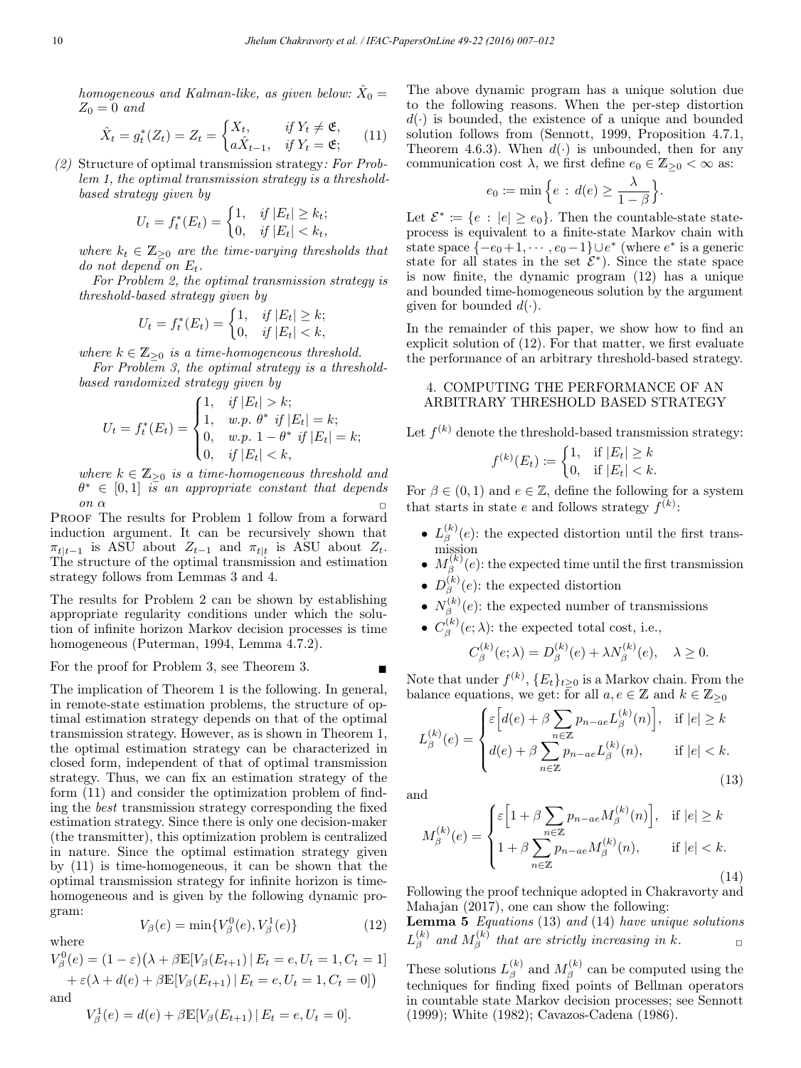homogeneous and Kalman-like, as given below:  $\hat{X}_0 =$  $Z_0 = 0$  and

$$
\hat{X}_t = g_t^*(Z_t) = Z_t = \begin{cases} X_t, & \text{if } Y_t \neq \mathfrak{E}, \\ a\hat{X}_{t-1}, & \text{if } Y_t = \mathfrak{E}; \end{cases} \tag{11}
$$

(2) Structure of optimal transmission strategy: For Problem 1, the optimal transmission strategy is a thresholdbased strategy given by

$$
U_t = f_t^*(E_t) = \begin{cases} 1, & \text{if } |E_t| \ge k_t; \\ 0, & \text{if } |E_t| < k_t, \end{cases}
$$

where  $k_t \in \mathbb{Z}_{\geq 0}$  are the time-varying thresholds that do not depend on  $E_t$ .

For Problem 2, the optimal transmission strategy is threshold-based strategy given by

$$
U_t = f_t^*(E_t) = \begin{cases} 1, & \text{if } |E_t| \ge k; \\ 0, & \text{if } |E_t| < k, \end{cases}
$$

where  $k \in \mathbb{Z}_{\geq 0}$  is a time-homogeneous threshold.

For Problem 3, the optimal strategy is a thresholdbased randomized strategy given by

$$
U_t = f_t^*(E_t) = \begin{cases} 1, & \text{if } |E_t| > k; \\ 1, & \text{w.p. } \theta^* \text{ if } |E_t| = k; \\ 0, & \text{w.p. } 1 - \theta^* \text{ if } |E_t| = k; \\ 0, & \text{if } |E_t| < k, \end{cases}
$$

where  $k \in \mathbb{Z}_{\geq 0}$  is a time-homogeneous threshold and  $\theta^* \in [0,1]$  is an appropriate constant that depends on  $\alpha$ 

PROOF The results for Problem 1 follow from a forward induction argument. It can be recursively shown that  $\pi_{t|t-1}$  is ASU about  $Z_{t-1}$  and  $\pi_{t|t}$  is ASU about  $Z_t$ . The structure of the optimal transmission and estimation strategy follows from Lemmas 3 and 4.

The results for Problem 2 can be shown by establishing appropriate regularity conditions under which the solution of infinite horizon Markov decision processes is time homogeneous (Puterman, 1994, Lemma 4.7.2).

For the proof for Problem 3, see Theorem 3.

The implication of Theorem 1 is the following. In general, in remote-state estimation problems, the structure of optimal estimation strategy depends on that of the optimal transmission strategy. However, as is shown in Theorem 1, the optimal estimation strategy can be characterized in closed form, independent of that of optimal transmission strategy. Thus, we can fix an estimation strategy of the form (11) and consider the optimization problem of finding the best transmission strategy corresponding the fixed estimation strategy. Since there is only one decision-maker (the transmitter), this optimization problem is centralized in nature. Since the optimal estimation strategy given by (11) is time-homogeneous, it can be shown that the optimal transmission strategy for infinite horizon is timehomogeneous and is given by the following dynamic program:

$$
V_{\beta}(e) = \min\{V_{\beta}^{0}(e), V_{\beta}^{1}(e)\}\tag{12}
$$

where

 $V_{\beta}^{0}(e) = (1 - \varepsilon)(\lambda + \beta \mathbb{E}[V_{\beta}(E_{t+1}) | E_t = e, U_t = 1, C_t = 1])$  $+ \varepsilon(\lambda + d(e) + \beta \mathbb{E}[V_{\beta}(E_{t+1}) | E_t = e, U_t = 1, C_t = 0])$ 

and

$$
V_{\beta}^{1}(e) = d(e) + \beta \mathbb{E}[V_{\beta}(E_{t+1}) | E_t = e, U_t = 0].
$$

The above dynamic program has a unique solution due to the following reasons. When the per-step distortion  $d(\cdot)$  is bounded, the existence of a unique and bounded solution follows from (Sennott, 1999, Proposition 4.7.1, Theorem 4.6.3). When  $d(\cdot)$  is unbounded, then for any communication cost  $\lambda$ , we first define  $e_0 \in \mathbb{Z}_{\geq 0} < \infty$  as:

$$
e_0 \coloneqq \min\Big\{e \,:\, d(e) \geq \frac{\lambda}{1-\beta}\Big\}.
$$

Let  $\mathcal{E}^* \coloneqq \{e : |e| \ge e_0\}.$  Then the countable-state stateprocess is equivalent to a finite-state Markov chain with state space  $\{-e_0+1,\cdots,e_0-1\}\cup e^*$  (where  $e^*$  is a generic state for all states in the set  $\mathcal{E}^*$ ). Since the state space is now finite, the dynamic program (12) has a unique and bounded time-homogeneous solution by the argument given for bounded  $d(\cdot)$ .

In the remainder of this paper, we show how to find an explicit solution of (12). For that matter, we first evaluate the performance of an arbitrary threshold-based strategy.

#### 4. COMPUTING THE PERFORMANCE OF AN ARBITRARY THRESHOLD BASED STRATEGY

Let  $f^{(k)}$  denote the threshold-based transmission strategy:

$$
f^{(k)}(E_t) \coloneqq \begin{cases} 1, & \text{if } |E_t| \ge k \\ 0, & \text{if } |E_t| < k. \end{cases}
$$

For  $\beta \in (0, 1)$  and  $e \in \mathbb{Z}$ , define the following for a system that starts in state e and follows strategy  $f^{(k)}$ :

- $L_{\beta}^{(k)}(e)$ : the expected distortion until the first transmission
- $M_{\beta}^{(k)}(e)$ : the expected time until the first transmission
- $D_{\beta}^{(k)}(e)$ : the expected distortion
- $N_{\beta}^{(k)}(e)$ : the expected number of transmissions
- $C_{\beta}^{(k)}(e;\lambda)$ : the expected total cost, i.e.,

$$
C_{\beta}^{(k)}(e;\lambda) = D_{\beta}^{(k)}(e) + \lambda N_{\beta}^{(k)}(e), \quad \lambda \ge 0.
$$

Note that under  $f^{(k)}$ ,  $\{E_t\}_{t\geq 0}$  is a Markov chain. From the balance equations, we get: for all  $a, e \in \mathbb{Z}$  and  $k \in \mathbb{Z}_{\geq 0}$ 

$$
L_{\beta}^{(k)}(e) = \begin{cases} \varepsilon \Big[ d(e) + \beta \sum_{n \in \mathbb{Z}} p_{n-ae} L_{\beta}^{(k)}(n) \Big], & \text{if } |e| \ge k\\ d(e) + \beta \sum_{n \in \mathbb{Z}} p_{n-ae} L_{\beta}^{(k)}(n), & \text{if } |e| < k. \end{cases}
$$
(13)

and

$$
M_{\beta}^{(k)}(e) = \begin{cases} \varepsilon \left[ 1 + \beta \sum_{n \in \mathbb{Z}} p_{n-ae} M_{\beta}^{(k)}(n) \right], & \text{if } |e| \ge k\\ 1 + \beta \sum_{n \in \mathbb{Z}} p_{n-ae} M_{\beta}^{(k)}(n), & \text{if } |e| < k. \end{cases}
$$
(14)

Following the proof technique adopted in Chakravorty and Mahajan (2017), one can show the following:

**Lemma 5** Equations (13) and (14) have unique solutions  $L_\beta^{(k)}$  and  $M_\beta^{(k)}$  that are strictly increasing in k.

These solutions  $L_{\beta}^{(k)}$  and  $M_{\beta}^{(k)}$  can be computed using the techniques for finding fixed points of Bellman operators in countable state Markov decision processes; see Sennott (1999); White (1982); Cavazos-Cadena (1986).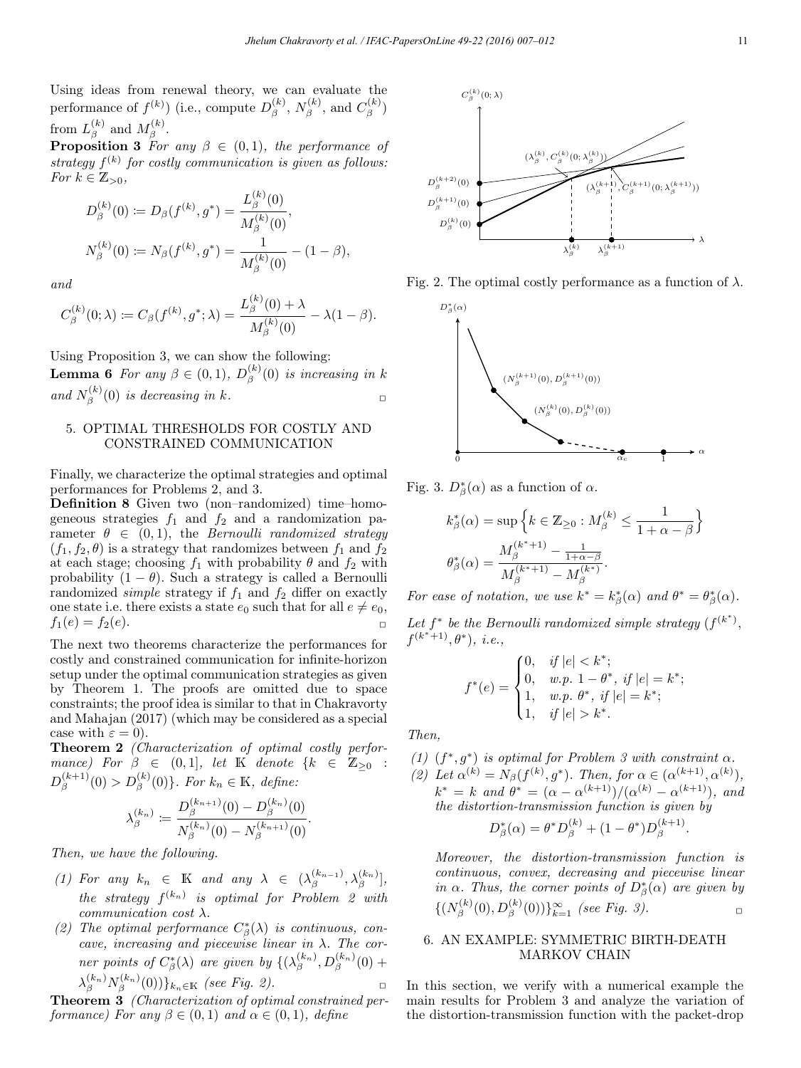Using ideas from renewal theory, we can evaluate the performance of  $f^{(k)}$ ) (i.e., compute  $D_{\beta}^{(k)}$ ,  $N_{\beta}^{(k)}$ , and  $C_{\beta}^{(k)}$ ) from  $L_{\beta}^{(k)}$  and  $M_{\beta}^{(k)}$ .

**Proposition 3** For any  $\beta \in (0,1)$ , the performance of strategy  $f^{(k)}$  for costly communication is given as follows: For  $k \in \mathbb{Z}_{>0}$ ,

$$
D_{\beta}^{(k)}(0) := D_{\beta}(f^{(k)}, g^*) = \frac{L_{\beta}^{(k)}(0)}{M_{\beta}^{(k)}(0)},
$$
  

$$
N_{\beta}^{(k)}(0) := N_{\beta}(f^{(k)}, g^*) = \frac{1}{M_{\beta}^{(k)}(0)} - (1 - \beta),
$$

and

$$
C_{\beta}^{(k)}(0;\lambda) \coloneqq C_{\beta}(f^{(k)},g^*;\lambda) = \frac{L_{\beta}^{(k)}(0)+\lambda}{M_{\beta}^{(k)}(0)} - \lambda(1-\beta).
$$

Using Proposition 3, we can show the following: **Lemma 6** For any  $\beta \in (0,1)$ ,  $D_{\beta}^{(k)}(0)$  is increasing in k and  $N_{\beta}^{(k)}(0)$  is decreasing in k.

## 5. OPTIMAL THRESHOLDS FOR COSTLY AND CONSTRAINED COMMUNICATION

Finally, we characterize the optimal strategies and optimal performances for Problems 2, and 3.

Definition 8 Given two (non–randomized) time–homogeneous strategies  $f_1$  and  $f_2$  and a randomization parameter  $\theta \in (0,1)$ , the Bernoulli randomized strategy  $(f_1, f_2, \theta)$  is a strategy that randomizes between  $f_1$  and  $f_2$ at each stage; choosing  $f_1$  with probability  $\theta$  and  $f_2$  with probability  $(1 - \theta)$ . Such a strategy is called a Bernoulli randomized *simple* strategy if  $f_1$  and  $f_2$  differ on exactly one state i.e. there exists a state  $e_0$  such that for all  $e \neq e_0$ ,  $f_1(e) = f_2(e)$ .

The next two theorems characterize the performances for costly and constrained communication for infinite-horizon setup under the optimal communication strategies as given by Theorem 1. The proofs are omitted due to space constraints; the proof idea is similar to that in Chakravorty and Mahajan (2017) (which may be considered as a special case with  $\varepsilon = 0$ ).

Theorem 2 (Characterization of optimal costly performance) For  $\beta \in (0,1]$ , let K denote  $\{k \in \mathbb{Z}_{\geq 0} :$  $D_{\beta}^{(k+1)}(0) > D_{\beta}^{(k)}(0) \}$ . For  $k_n \in \mathbb{K}$ , define:

$$
\lambda_{\beta}^{(k_n)} \coloneqq \frac{D_{\beta}^{(k_{n+1})}(0) - D_{\beta}^{(k_n)}(0)}{N_{\beta}^{(k_n)}(0) - N_{\beta}^{(k_{n+1})}(0)}.
$$

Then, we have the following.

- (1) For any  $k_n \in \mathbb{K}$  and any  $\lambda \in (\lambda_{\beta}^{(k_{n-1})}, \lambda_{\beta}^{(k_n)})$ , the strategy  $f^{(k_n)}$  is optimal for Problem 2 with communication cost  $\lambda$ .
- (2) The optimal performance  $C^*_{\beta}(\lambda)$  is continuous, concave, increasing and piecewise linear in  $\lambda$ . The corner points of  $C^*_{\beta}(\lambda)$  are given by  $\{(\lambda_{\beta}^{(k_n)}, D_{\beta}^{(k_n)}(0) +$  $\lambda_{\beta}^{(k_n)} N_{\beta}^{(k_n)}(0))\}_{k_n\in\mathbb{K}}$  (see Fig. 2).

Theorem 3 (Characterization of optimal constrained performance) For any  $\beta \in (0,1)$  and  $\alpha \in (0,1)$ , define



Fig. 2. The optimal costly performance as a function of  $\lambda$ .



Fig. 3.  $D^*_{\beta}(\alpha)$  as a function of  $\alpha$ .

$$
k_{\beta}^{*}(\alpha) = \sup \left\{ k \in \mathbb{Z}_{\geq 0} : M_{\beta}^{(k)} \leq \frac{1}{1 + \alpha - \beta} \right\}
$$

$$
\theta_{\beta}^{*}(\alpha) = \frac{M_{\beta}^{(k^{*}+1)} - \frac{1}{1 + \alpha - \beta}}{M_{\beta}^{(k^{*}+1)} - M_{\beta}^{(k^{*})}}.
$$

For ease of notation, we use  $k^* = k^*_{\beta}(\alpha)$  and  $\theta^* = \theta^*_{\beta}(\alpha)$ .

Let  $f^*$  be the Bernoulli randomized simple strategy  $(f^{(k^*)},$  $f^{(k^{*}+1)}, \theta^{*}), \ i.e.,$ 

$$
f^*(e) = \begin{cases} 0, & if |e| < k^*; \\ 0, & w.p. \ 1 - \theta^*, \ if |e| = k^*; \\ 1, & w.p. \ \theta^*, \ if |e| = k^*; \\ 1, & if |e| > k^*. \end{cases}
$$

Then,

(1)  $(f^*, g^*)$  is optimal for Problem 3 with constraint  $\alpha$ . (2) Let  $\alpha^{(k)} = N_{\beta}(f^{(k)}, g^*)$ . Then, for  $\alpha \in (\alpha^{(k+1)}, \alpha^{(k)}),$  $k^* = k$  and  $\theta^* = (\alpha - \alpha^{(k+1)})/(\alpha^{(k)} - \alpha^{(k+1)})$ , and the distortion-transmission function is given by

$$
D_{\beta}^{*}(\alpha) = \theta^{*} D_{\beta}^{(k)} + (1 - \theta^{*}) D_{\beta}^{(k+1)}.
$$

Moreover, the distortion-transmission function is continuous, convex, decreasing and piecewise linear in  $\alpha$ . Thus, the corner points of  $D^*_{\beta}(\alpha)$  are given by  $\{ (N_{\beta}^{(k)}(0), D_{\beta}^{(k)}(0)) \}_{k=1}^{\infty}$  (see Fig. 3).

# 6. AN EXAMPLE: SYMMETRIC BIRTH-DEATH MARKOV CHAIN

In this section, we verify with a numerical example the main results for Problem 3 and analyze the variation of the distortion-transmission function with the packet-drop